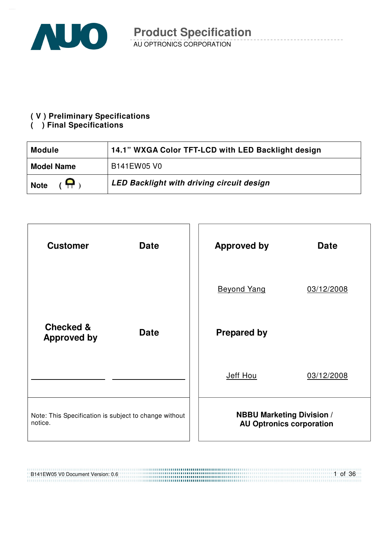

#### **( V ) Preliminary Specifications**

### **( ) Final Specifications**

| <b>Module</b>                | 14.1" WXGA Color TFT-LCD with LED Backlight design |
|------------------------------|----------------------------------------------------|
| <b>Model Name</b>            | B141EW05 V0                                        |
| $(\bigoplus)$<br><b>Note</b> | LED Backlight with driving circuit design          |



,,,,,,,,,,,,,,,,,,,,,,,,,,,,,,,,,,

B141EW05 V0 Document Version: 0.6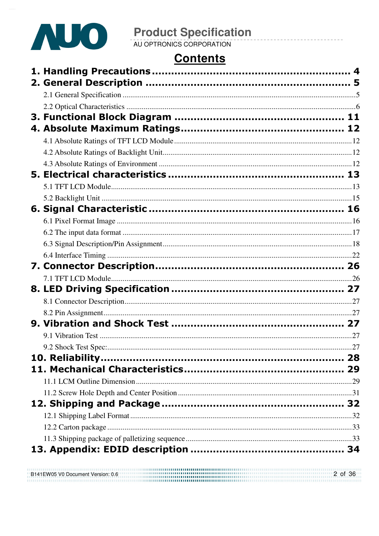

# **Contents**

B141EW05 V0 Document Version: 0.6<br>
State Communication of the Communication of the Communication of the Communication of the Communication of th B141EW05 V0 Document Version: 0.6 2 of 36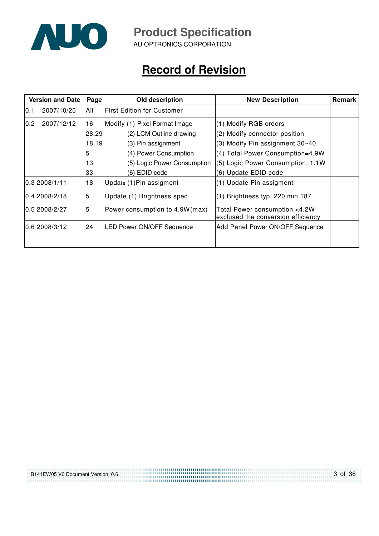

AU OPTRONICS CORPORATION

# **Record of Revision**

|                                                      | <b>Version and Date</b><br>Page |                                                                     | Old description                   | <b>New Description</b>           | Remark |
|------------------------------------------------------|---------------------------------|---------------------------------------------------------------------|-----------------------------------|----------------------------------|--------|
| 10.1                                                 | 2007/10/25                      | All                                                                 | <b>First Edition for Customer</b> |                                  |        |
| 0.2                                                  | 2007/12/12                      | 16                                                                  | Modify (1) Pixel Format Image     | (1) Modify RGB orders            |        |
|                                                      |                                 | 28,29                                                               | (2) LCM Outline drawing           | (2) Modify connector position    |        |
|                                                      |                                 | 18,19                                                               | (3) Pin assignment                | (3) Modify Pin assignment 30~40  |        |
|                                                      |                                 | 5                                                                   | (4) Power Consumption             | (4) Total Power Consumption=4.9W |        |
|                                                      |                                 | 13                                                                  | (5) Logic Power Consumption       | (5) Logic Power Consumption=1.1W |        |
|                                                      |                                 | 33                                                                  | (6) EDID code                     | (6) Update EDID code             |        |
|                                                      | 0.3 2008/1/11                   | 18                                                                  | Update (1) Pin assigment          | (1) Update Pin assigment         |        |
|                                                      | 10.4 2008/2/18                  | 5                                                                   | Update (1) Brightness spec.       | (1) Brightness typ. 220 min.187  |        |
| 5<br>0.5 2008/2/27<br>Power consumption to 4.9W(max) |                                 | Total Power consumption <4.2W<br>exclused the conversion efficiency |                                   |                                  |        |
| 24<br>10.6 2008/3/12                                 |                                 |                                                                     | <b>LED Power ON/OFF Sequence</b>  | Add Panel Power ON/OFF Sequence  |        |
|                                                      |                                 |                                                                     |                                   |                                  |        |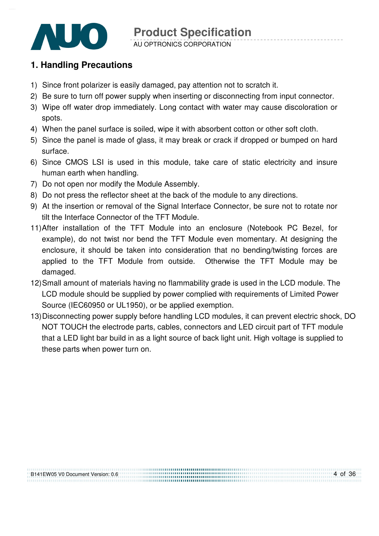

AU OPTRONICS CORPORATION

# **1. Handling Precautions**

- 1) Since front polarizer is easily damaged, pay attention not to scratch it.
- 2) Be sure to turn off power supply when inserting or disconnecting from input connector.
- 3) Wipe off water drop immediately. Long contact with water may cause discoloration or spots.
- 4) When the panel surface is soiled, wipe it with absorbent cotton or other soft cloth.
- 5) Since the panel is made of glass, it may break or crack if dropped or bumped on hard surface.
- 6) Since CMOS LSI is used in this module, take care of static electricity and insure human earth when handling.
- 7) Do not open nor modify the Module Assembly.
- 8) Do not press the reflector sheet at the back of the module to any directions.
- 9) At the insertion or removal of the Signal Interface Connector, be sure not to rotate nor tilt the Interface Connector of the TFT Module.
- 11) After installation of the TFT Module into an enclosure (Notebook PC Bezel, for example), do not twist nor bend the TFT Module even momentary. At designing the enclosure, it should be taken into consideration that no bending/twisting forces are applied to the TFT Module from outside. Otherwise the TFT Module may be damaged.
- 12) Small amount of materials having no flammability grade is used in the LCD module. The LCD module should be supplied by power complied with requirements of Limited Power Source (IEC60950 or UL1950), or be applied exemption.
- 13) Disconnecting power supply before handling LCD modules, it can prevent electric shock, DO NOT TOUCH the electrode parts, cables, connectors and LED circuit part of TFT module that a LED light bar build in as a light source of back light unit. High voltage is supplied to these parts when power turn on.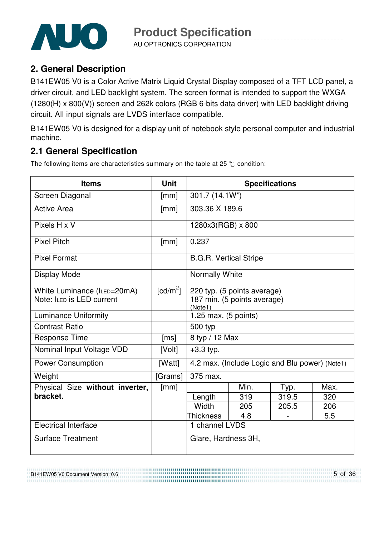

AU OPTRONICS CORPORATION

# **2. General Description**

B141EW05 V0 is a Color Active Matrix Liquid Crystal Display composed of a TFT LCD panel, a driver circuit, and LED backlight system. The screen format is intended to support the WXGA (1280(H) x 800(V)) screen and 262k colors (RGB 6-bits data driver) with LED backlight driving circuit. All input signals are LVDS interface compatible.

B141EW05 V0 is designed for a display unit of notebook style personal computer and industrial machine.

# **2.1 General Specification**

The following items are characteristics summary on the table at 25  $\degree$ C condition:

| <b>Items</b>                    | <b>Unit</b>            |                                        | <b>Specifications</b>                          |       |     |
|---------------------------------|------------------------|----------------------------------------|------------------------------------------------|-------|-----|
| Screen Diagonal                 | [mm]                   | 301.7 (14.1W")                         |                                                |       |     |
| <b>Active Area</b>              | [mm]                   | 303.36 X 189.6                         |                                                |       |     |
| Pixels H x V                    |                        | 1280x3(RGB) x 800                      |                                                |       |     |
| <b>Pixel Pitch</b>              | [mm]                   | 0.237                                  |                                                |       |     |
| <b>Pixel Format</b>             |                        | <b>B.G.R. Vertical Stripe</b>          |                                                |       |     |
| <b>Display Mode</b>             |                        | Normally White                         |                                                |       |     |
| White Luminance (ILED=20mA)     | $\lceil cd/m^2 \rceil$ |                                        | 220 typ. (5 points average)                    |       |     |
| Note: ILED is LED current       |                        | 187 min. (5 points average)<br>(Note1) |                                                |       |     |
| <b>Luminance Uniformity</b>     |                        | 1.25 max. $(5 \text{ points})$         |                                                |       |     |
| <b>Contrast Ratio</b>           |                        | 500 typ                                |                                                |       |     |
| <b>Response Time</b>            | [ms]                   | 8 typ / 12 Max                         |                                                |       |     |
| Nominal Input Voltage VDD       | [Volt]                 | $+3.3$ typ.                            |                                                |       |     |
| <b>Power Consumption</b>        | [Watt]                 |                                        | 4.2 max. (Include Logic and Blu power) (Note1) |       |     |
| Weight                          | [Grams]                | 375 max.                               |                                                |       |     |
| Physical Size without inverter, | [mm]                   | Min.<br>Max.<br>Typ.                   |                                                |       |     |
| bracket.                        |                        | Length                                 | 319                                            | 319.5 | 320 |
|                                 |                        | Width                                  | 205                                            | 205.5 | 206 |
|                                 |                        | <b>Thickness</b>                       | 4.8                                            |       | 5.5 |
| <b>Electrical Interface</b>     |                        | 1 channel LVDS                         |                                                |       |     |
| <b>Surface Treatment</b>        |                        | Glare, Hardness 3H,                    |                                                |       |     |

B141EW05 V0 Document Version: 0.6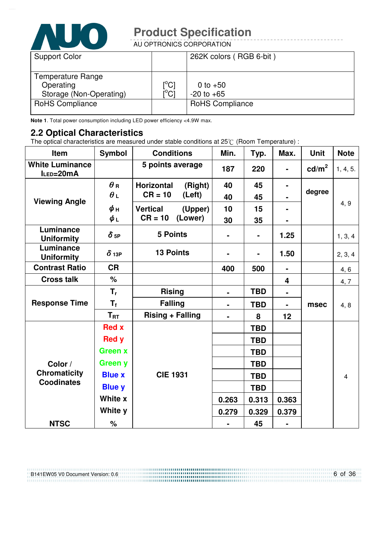

AU OPTRONICS CORPORATION

| <b>Support Color</b>                                      |                                                          | 262K colors (RGB 6-bit)      |
|-----------------------------------------------------------|----------------------------------------------------------|------------------------------|
| Temperature Range<br>Operating<br>Storage (Non-Operating) | $\mathsf{I}^\circ\mathsf{Cl}$<br>$\mathsf{I}^{\circ}$ Cl | 0 to $+50$<br>$-20$ to $+65$ |
| <b>RoHS Compliance</b>                                    |                                                          | <b>RoHS Compliance</b>       |

**Note 1**. Total power consumption including LED power efficiency <4.9W max.

#### **2.2 Optical Characteristics**

The optical characteristics are measured under stable conditions at 25 $\degree$  (Room Temperature) :

| Item                                | <b>Symbol</b>          | <b>Conditions</b>            | Min.           | Typ.           | Max.                    | <b>Unit</b>       | <b>Note</b>    |
|-------------------------------------|------------------------|------------------------------|----------------|----------------|-------------------------|-------------------|----------------|
| <b>White Luminance</b><br>ILED=20mA |                        | 5 points average             | 187            | 220            |                         | cd/m <sup>2</sup> | 1, 4, 5.       |
|                                     | $\theta$ R             | <b>Horizontal</b><br>(Right) | 40             | 45             | $\blacksquare$          |                   |                |
| <b>Viewing Angle</b>                | $\theta_L$             | $CR = 10$<br>(Left)          | 40             | 45             |                         | degree            |                |
|                                     | $\phi$ н               | <b>Vertical</b><br>(Upper)   | 10             | 15             |                         |                   | 4, 9           |
|                                     | $\phi_L$               | $CR = 10$<br>(Lower)         | 30             | 35             |                         |                   |                |
| Luminance<br><b>Uniformity</b>      | $\delta$ <sub>5P</sub> | <b>5 Points</b>              |                | $\blacksquare$ | 1.25                    |                   | 1, 3, 4        |
| Luminance<br><b>Uniformity</b>      | $\delta$ 13P           | <b>13 Points</b>             | -              |                | 1.50                    |                   | 2, 3, 4        |
| <b>Contrast Ratio</b>               | <b>CR</b>              |                              | 400            | 500            | $\blacksquare$          |                   | 4, 6           |
| <b>Cross talk</b>                   | $\%$                   |                              |                |                | $\overline{\mathbf{4}}$ |                   | 4, 7           |
|                                     | $T_{r}$                | <b>Rising</b>                | $\blacksquare$ | <b>TBD</b>     |                         |                   |                |
| <b>Response Time</b>                | $T_f$                  | <b>Falling</b>               |                | <b>TBD</b>     |                         | msec              | 4, 8           |
|                                     | $T_{\rm RT}$           | <b>Rising + Falling</b>      | $\blacksquare$ | 8              | 12                      |                   |                |
|                                     | <b>Red x</b>           |                              |                | <b>TBD</b>     |                         |                   |                |
|                                     | <b>Red y</b>           |                              |                | <b>TBD</b>     |                         |                   |                |
|                                     | <b>Green x</b>         |                              |                | <b>TBD</b>     |                         |                   |                |
| Color /                             | <b>Green y</b>         |                              |                | <b>TBD</b>     |                         |                   |                |
| <b>Chromaticity</b>                 | <b>Blue x</b>          | <b>CIE 1931</b>              |                | <b>TBD</b>     |                         |                   | $\overline{4}$ |
| <b>Coodinates</b>                   | <b>Blue y</b>          |                              |                | <b>TBD</b>     |                         |                   |                |
|                                     | White x                |                              | 0.263          | 0.313          | 0.363                   |                   |                |
|                                     | White y                |                              | 0.279          | 0.329          | 0.379                   |                   |                |
| <b>NTSC</b><br>%                    |                        |                              |                | 45             | $\blacksquare$          |                   |                |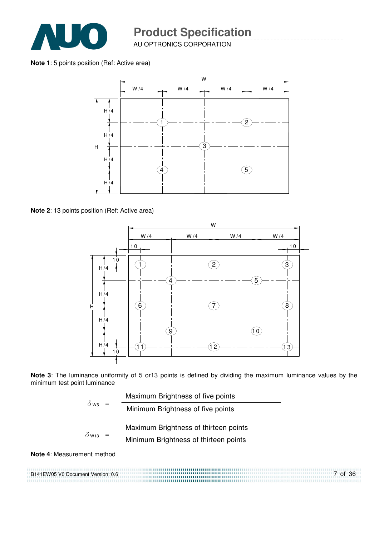

AU OPTRONICS CORPORATION

**Note 1**: 5 points position (Ref: Active area)



**Note 2**: 13 points position (Ref: Active area)



**Note 3**: The luminance uniformity of 5 or13 points is defined by dividing the maximum luminance values by the minimum test point luminance

| $\delta$ ws $\sim$       |  | Maximum Brightness of five points     |
|--------------------------|--|---------------------------------------|
|                          |  | Minimum Brightness of five points     |
|                          |  | Maximum Brightness of thirteen points |
| $\delta$ W <sub>13</sub> |  | Minimum Brightness of thirteen points |
|                          |  |                                       |

#### **Note 4**: Measurement method

B141EW05 V0 Document Version: 0.6 7 of 36 ,,,,,,,,,,,,,,,,,,,,,,,,,,,,,,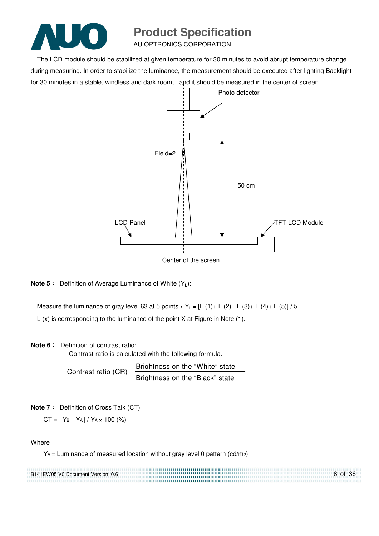

AU OPTRONICS CORPORATION

The LCD module should be stabilized at given temperature for 30 minutes to avoid abrupt temperature change during measuring. In order to stabilize the luminance, the measurement should be executed after lighting Backlight for 30 minutes in a stable, windless and dark room, , and it should be measured in the center of screen.



Center of the screen

**Note 5** : Definition of Average Luminance of White (Y<sub>L</sub>):

Measure the luminance of gray level 63 at 5 points  $Y_L = [L (1) + L (2) + L (3) + L (4) + L (5)] / 5$ L (x) is corresponding to the luminance of the point X at Figure in Note (1).

#### **Note 6** : Definition of contrast ratio:

Contrast ratio is calculated with the following formula.

Contrast ratio  $(CR)$ = Brightness on the "White" state Brightness on the "Black" state

**Note 7** : Definition of Cross Talk (CT)

 $CT = | Y_B - Y_A | / Y_A \times 100 (%)$ 

**Where** 

YA = Luminance of measured location without gray level 0 pattern (cd/m2)

| B141EW05 V0 Document Version: 0.6 |            | 8 of 36 |
|-----------------------------------|------------|---------|
|                                   | . <b>.</b> |         |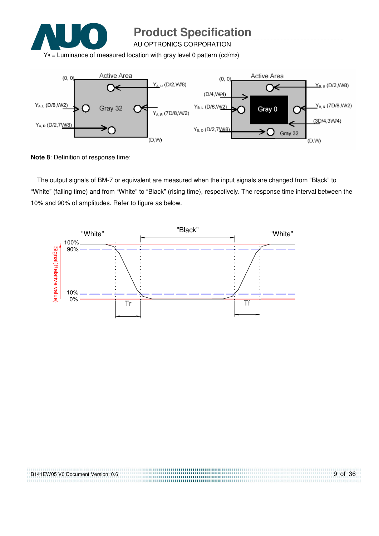

AU OPTRONICS CORPORATION

 $Y_B$  = Luminance of measured location with gray level 0 pattern (cd/m<sub>2</sub>)



**Note 8**: Definition of response time:

The output signals of BM-7 or equivalent are measured when the input signals are changed from "Black" to "White" (falling time) and from "White" to "Black" (rising time), respectively. The response time interval between the 10% and 90% of amplitudes. Refer to figure as below.



| B141EW05 V0 Document Version: 0.6 | 9 of 36 |
|-----------------------------------|---------|
|                                   |         |
|                                   |         |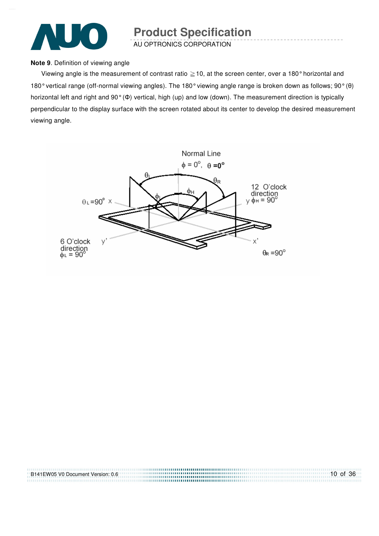

AU OPTRONICS CORPORATION

#### **Note 9**. Definition of viewing angle

Viewing angle is the measurement of contrast ratio  $\geq$  10, at the screen center, over a 180° horizontal and 180° vertical range (off-normal viewing angles). The 180° viewing angle range is broken down as follows; 90° (θ) horizontal left and right and 90° (Φ) vertical, high (up) and low (down). The measurement direction is typically perpendicular to the display surface with the screen rotated about its center to develop the desired measurement viewing angle.



| B141EW05 V0 Document Version: 0.6 | $10$ of 36 |
|-----------------------------------|------------|
|                                   |            |
|                                   |            |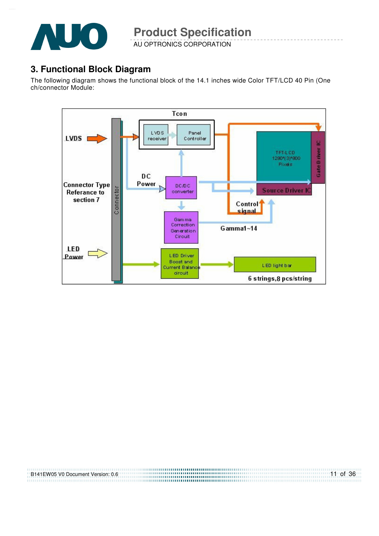

AU OPTRONICS CORPORATION

### **3. Functional Block Diagram**

The following diagram shows the functional block of the 14.1 inches wide Color TFT/LCD 40 Pin (One ch/connector Module:



| B141EW05 V0 Document Version: 0.6 |  |
|-----------------------------------|--|
|                                   |  |
|                                   |  |

11 of 36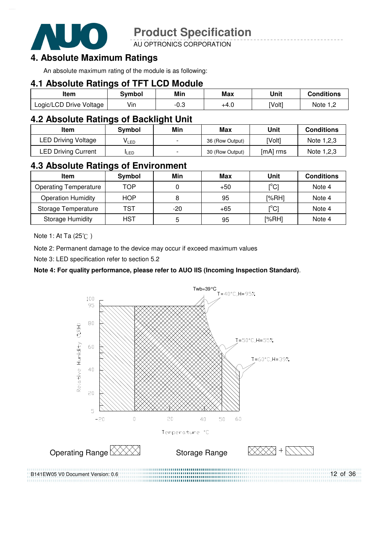

AU OPTRONICS CORPORATION

# **4. Absolute Maximum Ratings**

An absolute maximum rating of the module is as following:

### **4.1 Absolute Ratings of TFT LCD Module**

| ltem                    | Svmbol | Min         | Max  | Unit   | <b>Conditions</b> |
|-------------------------|--------|-------------|------|--------|-------------------|
| Logic/LCD Drive Voltage | Vin    | ∩ ∂<br>ن.∪- | +4.0 | [Volt] | Note              |

### **4.2 Absolute Ratings of Backlight Unit**

| ltem                       | Svmbol     | Min                      | Max             | Unit     | <b>Conditions</b> |
|----------------------------|------------|--------------------------|-----------------|----------|-------------------|
| <b>LED Driving Voltage</b> | VLED       | $\overline{\phantom{0}}$ | 36 (Row Output) | [Volt]   | Note 1,2,3        |
| <b>LED Driving Current</b> | <b>LED</b> | $\overline{\phantom{0}}$ | 30 (Row Output) | [mA] rms | Note 1,2,3        |

### **4.3 Absolute Ratings of Environment**

| <b>Item</b>                  | Symbol     | Min | Max   | Unit                           | <b>Conditions</b> |
|------------------------------|------------|-----|-------|--------------------------------|-------------------|
| <b>Operating Temperature</b> | TOP        |     | $+50$ | $\mathop{\rm l}{\rm c}{\rm l}$ | Note 4            |
| <b>Operation Humidity</b>    | <b>HOP</b> | 8   | 95    | [%RH]                          | Note 4            |
| Storage Temperature          | TST        | -20 | $+65$ | $\mathop{\rm l}{\rm ^oC}$      | Note 4            |
| <b>Storage Humidity</b>      | HST        | 5   | 95    | [%RH]                          | Note 4            |

Note 1: At Ta (25°C)

Note 2: Permanent damage to the device may occur if exceed maximum values

Note 3: LED specification refer to section 5.2

#### **Note 4: For quality performance, please refer to AUO IIS (Incoming Inspection Standard)**.

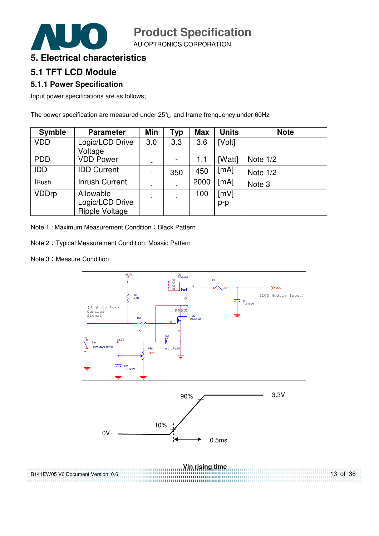AU OPTRONICS CORPORATION

### **5. Electrical characteristics**

### **5.1 TFT LCD Module**

#### **5.1.1 Power Specification**

Input power specifications are as follows;

The power specification are measured under  $25^{\circ}$ C and frame frenquency under 60Hz

| <b>Symble</b> | <b>Parameter</b>                                      | <b>Min</b>               | Typ | <b>Max</b> | <b>Units</b> | <b>Note</b> |
|---------------|-------------------------------------------------------|--------------------------|-----|------------|--------------|-------------|
| <b>VDD</b>    | Logic/LCD Drive<br>Voltage                            | 3.0                      | 3.3 | 3.6        | [Volt]       |             |
| <b>PDD</b>    | <b>VDD Power</b>                                      | -                        |     | 1.1        | [Watt]       | Note $1/2$  |
| IDD           | <b>IDD Current</b>                                    | $\overline{\phantom{a}}$ | 350 | 450        | [mA]         | Note $1/2$  |
| <b>IRush</b>  | <b>Inrush Current</b>                                 | $\overline{\phantom{a}}$ |     | 2000       | [mA]         | Note 3      |
| <b>VDDrp</b>  | Allowable<br>Logic/LCD Drive<br><b>Ripple Voltage</b> | $\overline{\phantom{a}}$ |     | 100        | [mV]<br>p-p  |             |

Note 1: Maximum Measurement Condition: Black Pattern

Note 2 : Typical Measurement Condition: Mosaic Pattern

Note 3: Measure Condition



13 of 36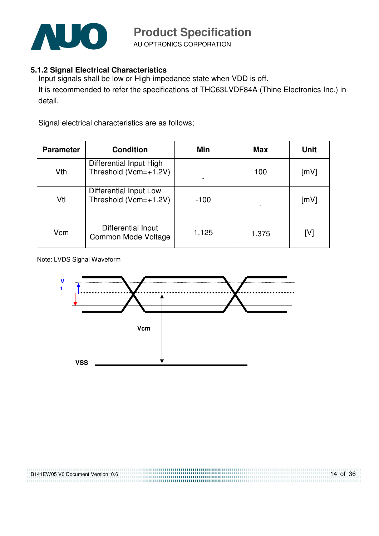

AU OPTRONICS CORPORATION

#### **5.1.2 Signal Electrical Characteristics**

Input signals shall be low or High-impedance state when VDD is off. It is recommended to refer the specifications of THC63LVDF84A (Thine Electronics Inc.) in detail.

Signal electrical characteristics are as follows;

| <b>Parameter</b> | <b>Condition</b>                                 | Min    | <b>Max</b> | <b>Unit</b> |
|------------------|--------------------------------------------------|--------|------------|-------------|
| Vth              | Differential Input High<br>Threshold (Vcm=+1.2V) |        | 100        | [mV]        |
| Vtl              | Differential Input Low<br>Threshold (Vcm=+1.2V)  | $-100$ |            | [mV]        |
| Vcm              | Differential Input<br>Common Mode Voltage        | 1.125  | 1.375      | [V]         |

Note: LVDS Signal Waveform

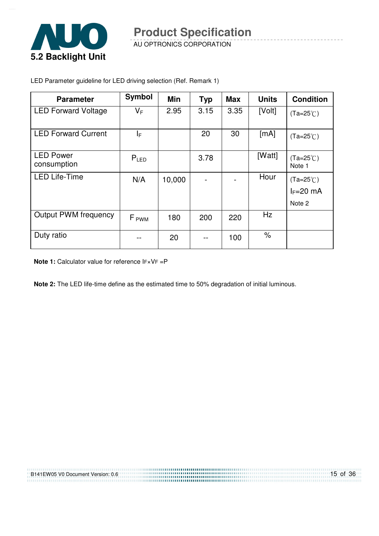

AU OPTRONICS CORPORATION

| <b>Parameter</b>                | <b>Symbol</b>    | <b>Min</b> | <b>Typ</b> | <b>Max</b> | <b>Units</b> | <b>Condition</b>                  |
|---------------------------------|------------------|------------|------------|------------|--------------|-----------------------------------|
| <b>LED Forward Voltage</b>      | $V_F$            | 2.95       | 3.15       | 3.35       | [Volt]       | $(Ta=25^{\circ}C)$                |
| <b>LED Forward Current</b>      | I⊧.              |            | 20         | 30         | [mA]         | $(Ta=25^{\circ}C)$                |
| <b>LED Power</b><br>consumption | $P_{LED}$        |            | 3.78       |            | [Watt]       | $(Ta=25^{\circ}C)$<br>Note 1      |
| <b>LED Life-Time</b>            | N/A              | 10,000     |            |            | Hour         | $(Ta=25^{\circ}C)$<br>$I_F=20$ mA |
|                                 |                  |            |            |            |              | Note 2                            |
| <b>Output PWM frequency</b>     | F <sub>PWM</sub> | 180        | 200        | 220        | Hz           |                                   |
| Duty ratio                      |                  | 20         |            | 100        | $\%$         |                                   |

LED Parameter guideline for LED driving selection (Ref. Remark 1)

**Note 1:** Calculator value for reference IF×VF =P

**Note 2:** The LED life-time define as the estimated time to 50% degradation of initial luminous.

........................ 

| B141EW05 V0 Document Version: 0.6<br>,,,,,,,,,,,,,,,,,,,,,,,,,, | .<br><b><i>ITTITITITITI</i></b> |
|-----------------------------------------------------------------|---------------------------------|
|                                                                 |                                 |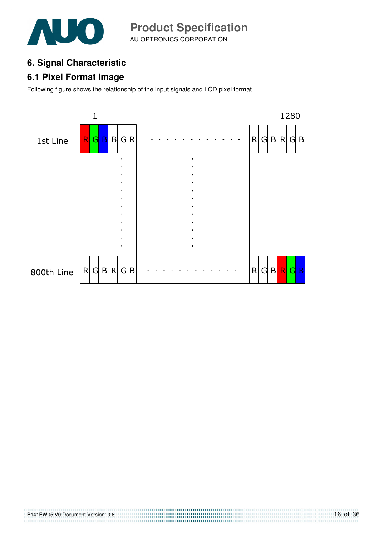

AU OPTRONICS CORPORATION **Product Specification** 

# **6. Signal Characteristic**

### **6.1 Pixel Format Image**

Following figure shows the relationship of the input signals and LCD pixel format.



B141EW05 V0 Document Version: 0.6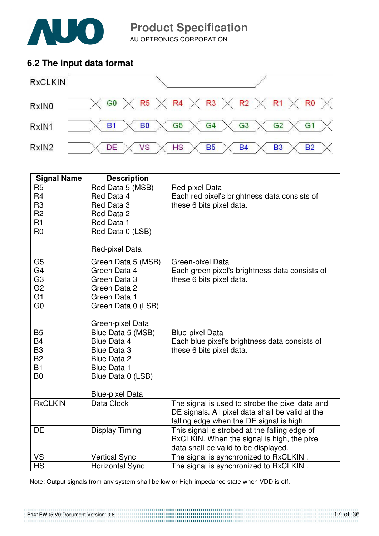

AU OPTRONICS CORPORATION

### **6.2 The input data format**



| <b>Signal Name</b>                                                                                       | <b>Description</b>                                                                                                                  |                                                                                                                                                 |
|----------------------------------------------------------------------------------------------------------|-------------------------------------------------------------------------------------------------------------------------------------|-------------------------------------------------------------------------------------------------------------------------------------------------|
| R <sub>5</sub><br>R <sub>4</sub><br>R <sub>3</sub><br>R <sub>2</sub><br>R1<br>R <sub>0</sub>             | Red Data 5 (MSB)<br>Red Data 4<br>Red Data 3<br>Red Data 2<br>Red Data 1<br>Red Data 0 (LSB)<br>Red-pixel Data                      | Red-pixel Data<br>Each red pixel's brightness data consists of<br>these 6 bits pixel data.                                                      |
| G <sub>5</sub><br>G <sub>4</sub><br>G <sub>3</sub><br>G <sub>2</sub><br>G <sub>1</sub><br>G <sub>0</sub> | Green Data 5 (MSB)<br>Green Data 4<br>Green Data 3<br>Green Data 2<br>Green Data 1<br>Green Data 0 (LSB)<br>Green-pixel Data        | Green-pixel Data<br>Each green pixel's brightness data consists of<br>these 6 bits pixel data.                                                  |
| <b>B5</b><br><b>B4</b><br>B <sub>3</sub><br><b>B2</b><br><b>B1</b><br>B <sub>0</sub>                     | Blue Data 5 (MSB)<br>Blue Data 4<br>Blue Data 3<br>Blue Data 2<br><b>Blue Data 1</b><br>Blue Data 0 (LSB)<br><b>Blue-pixel Data</b> | <b>Blue-pixel Data</b><br>Each blue pixel's brightness data consists of<br>these 6 bits pixel data.                                             |
| <b>RxCLKIN</b>                                                                                           | Data Clock                                                                                                                          | The signal is used to strobe the pixel data and<br>DE signals. All pixel data shall be valid at the<br>falling edge when the DE signal is high. |
| DE                                                                                                       | <b>Display Timing</b>                                                                                                               | This signal is strobed at the falling edge of<br>RxCLKIN. When the signal is high, the pixel<br>data shall be valid to be displayed.            |
| VS                                                                                                       | <b>Vertical Sync</b>                                                                                                                | The signal is synchronized to RxCLKIN.                                                                                                          |
| <b>HS</b>                                                                                                | <b>Horizontal Sync</b>                                                                                                              | The signal is synchronized to RxCLKIN.                                                                                                          |

Note: Output signals from any system shall be low or High-impedance state when VDD is off.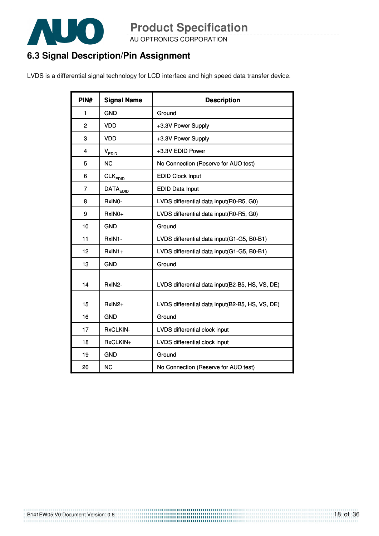

AU OPTRONICS CORPORATION

# **6.3 Signal Description/Pin Assignment**

LVDS is a differential signal technology for LCD interface and high speed data transfer device.

| PIN#           | <b>Signal Name</b>  | <b>Description</b>                              |
|----------------|---------------------|-------------------------------------------------|
| 1              | <b>GND</b>          | Ground                                          |
| $\overline{2}$ | <b>VDD</b>          | +3.3V Power Supply                              |
| 3              | <b>VDD</b>          | +3.3V Power Supply                              |
| 4              | V <sub>EDID</sub>   | +3.3V EDID Power                                |
| 5              | <b>NC</b>           | No Connection (Reserve for AUO test)            |
| 6              | $CLK_{EDID}$        | <b>EDID Clock Input</b>                         |
| 7              | DATA <sub>EDD</sub> | <b>EDID Data Input</b>                          |
| 8              | RxIN0-              | LVDS differential data input(R0-R5, G0)         |
| 9              | RxIN0+              | LVDS differential data input(R0-R5, G0)         |
| 10             | <b>GND</b>          | Ground                                          |
| 11             | RxIN1-              | LVDS differential data input(G1-G5, B0-B1)      |
| 12             | $RxIN1+$            | LVDS differential data input(G1-G5, B0-B1)      |
| 13             | <b>GND</b>          | Ground                                          |
| 14             | RxIN2-              | LVDS differential data input(B2-B5, HS, VS, DE) |
| 15             | RxIN2+              | LVDS differential data input(B2-B5, HS, VS, DE) |
| 16             | <b>GND</b>          | Ground                                          |
| 17             | RxCLKIN-            | LVDS differential clock input                   |
| 18             | RxCLKIN+            | LVDS differential clock input                   |
| 19             | <b>GND</b>          | Ground                                          |
| 20             | <b>NC</b>           | No Connection (Reserve for AUO test)            |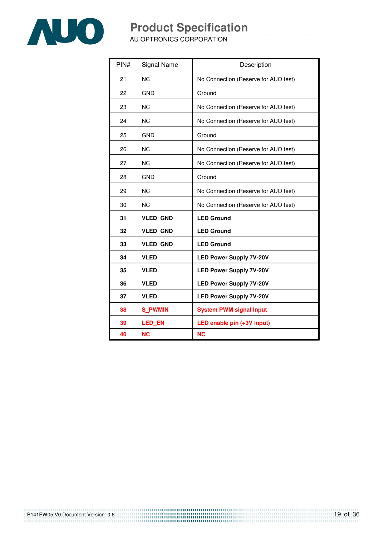

AU OPTRONICS CORPORATION

| PIN# | Signal Name     | Description                          |
|------|-----------------|--------------------------------------|
| 21   | <b>NC</b>       | No Connection (Reserve for AUO test) |
| 22   | <b>GND</b>      | Ground                               |
| 23   | <b>NC</b>       | No Connection (Reserve for AUO test) |
| 24   | <b>NC</b>       | No Connection (Reserve for AUO test) |
| 25   | <b>GND</b>      | Ground                               |
| 26   | <b>NC</b>       | No Connection (Reserve for AUO test) |
| 27   | <b>NC</b>       | No Connection (Reserve for AUO test) |
| 28   | <b>GND</b>      | Ground                               |
| 29   | <b>NC</b>       | No Connection (Reserve for AUO test) |
| 30   | <b>NC</b>       | No Connection (Reserve for AUO test) |
| 31   | <b>VLED GND</b> | <b>LED Ground</b>                    |
| 32   | <b>VLED GND</b> | <b>LED Ground</b>                    |
| 33   | <b>VLED GND</b> | <b>LED Ground</b>                    |
| 34   | <b>VLED</b>     | <b>LED Power Supply 7V-20V</b>       |
| 35   | <b>VLED</b>     | <b>LED Power Supply 7V-20V</b>       |
| 36   | <b>VLED</b>     | <b>LED Power Supply 7V-20V</b>       |
| 37   | <b>VLED</b>     | <b>LED Power Supply 7V-20V</b>       |
| 38   | <b>S PWMIN</b>  | <b>System PWM signal Input</b>       |
| 39   | <b>LED EN</b>   | LED enable pin (+3V input)           |
| 40   | <b>NC</b>       | <b>NC</b>                            |

B141EW05 V0 Document Version: 0.6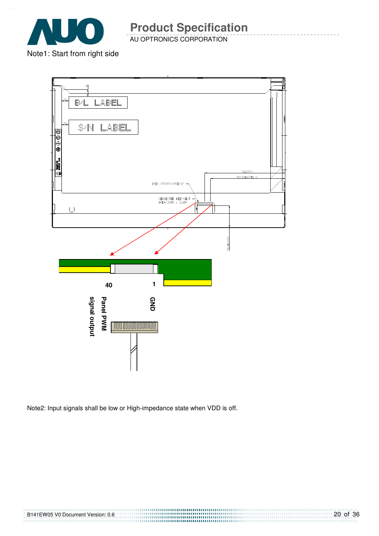

AU OPTRONICS CORPORATION

Note1: Start from right side



Note2: Input signals shall be low or High-impedance state when VDD is off.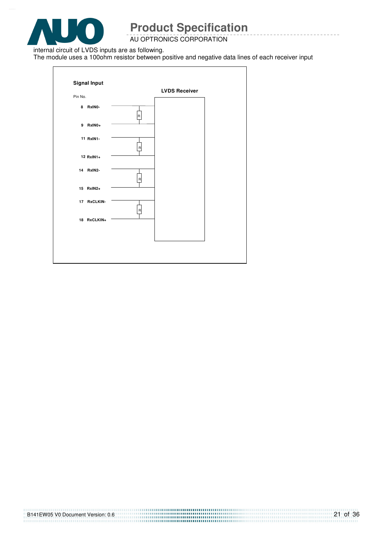

#### AU OPTRONICS CORPORATION

internal circuit of LVDS inputs are as following.

The module uses a 100ohm resistor between positive and negative data lines of each receiver input

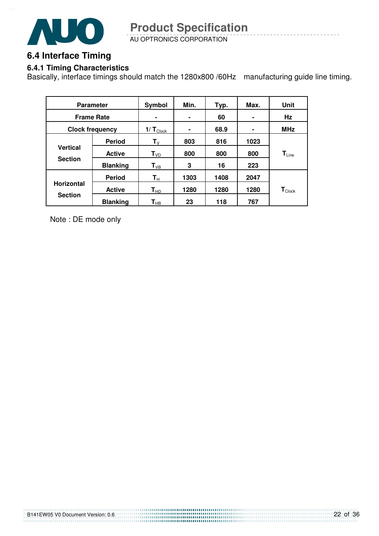

AU OPTRONICS CORPORATION **Product Specification** 

# **6.4 Interface Timing**

#### **6.4.1 Timing Characteristics**

Basically, interface timings should match the 1280x800 /60Hz manufacturing guide line timing.

| <b>Parameter</b>       |                 | Symbol                        | Min. | Typ. | Max. | Unit                         |
|------------------------|-----------------|-------------------------------|------|------|------|------------------------------|
| <b>Frame Rate</b>      |                 |                               | ۰    | 60   |      | Hz                           |
| <b>Clock frequency</b> |                 | $1/\mathbf{T}_{\text{Clock}}$ | ۰    | 68.9 | ۰    | <b>MHz</b>                   |
|                        | <b>Period</b>   | $T_{V}$                       | 803  | 816  | 1023 |                              |
| <b>Vertical</b>        | <b>Active</b>   | T <sub>VD</sub>               | 800  | 800  | 800  | $\mathbf{T}_{\mathsf{Line}}$ |
| <b>Section</b>         | <b>Blanking</b> | $T_{VB}$                      | 3    | 16   | 223  |                              |
|                        | <b>Period</b>   | $\mathsf{T}_\mathsf{H}$       | 1303 | 1408 | 2047 |                              |
| <b>Horizontal</b>      | <b>Active</b>   | $\mathsf{T}_{\mathsf{HD}}$    | 1280 | 1280 | 1280 | $\mathbf{T}_{\text{Clock}}$  |
| <b>Section</b>         | <b>Blanking</b> | $\textsf{T}_{\sf HB}$         | 23   | 118  | 767  |                              |

Note : DE mode only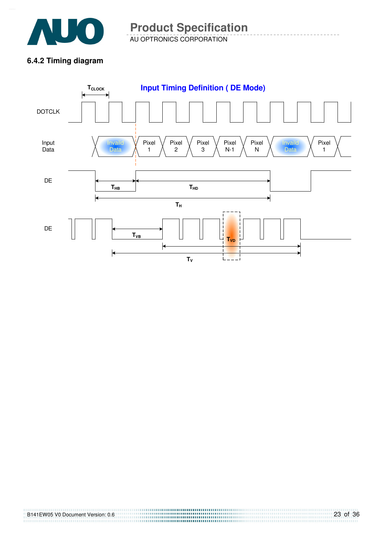

AU OPTRONICS CORPORATION **Product Specification** 

### **6.4.2 Timing diagram**



B141EW05 V0 Document Version: 0.6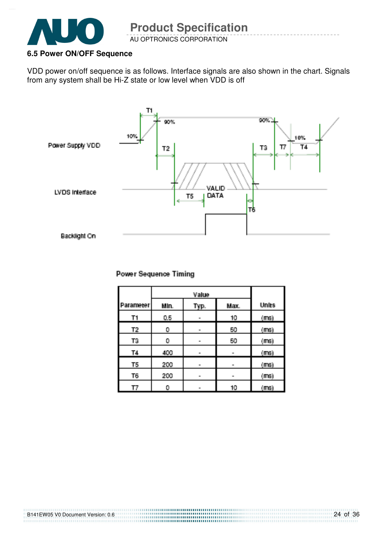

B141EW05 V0 Document Version: 0.6

### **6.5 Power ON/OFF Sequence**

VDD power on/off sequence is as follows. Interface signals are also shown in the chart. Signals from any system shall be Hi-Z state or low level when VDD is off



#### **Power Sequence Timing**

| Parameter) | Min. | Typ. | Max. | <b>Units</b> |
|------------|------|------|------|--------------|
| T1         | 0.5  | m.   | 10   | (ms)         |
| Τ2,        | 0    | m.   | 50   | (ms)         |
| T3         | 0    | ш.   | 50   | $(m_3)$      |
| <b>T4</b>  | 400  | m.   |      | (ms)         |
| T5         | 200  | m.   | m.   | (ms)         |
| T6,        | 200  | m.   | œ.   | (ms)         |
| ΤТ         | 0    | m.   | 10   | (maj)        |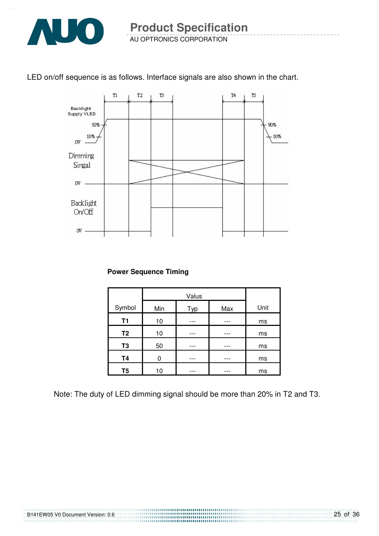

### LED on/off sequence is as follows. Interface signals are also shown in the chart.



#### **Power Sequence Timing**

| Symbol         | Min | Typ | Max | Unit |
|----------------|-----|-----|-----|------|
| T1             | 10  |     |     | ms   |
| T <sub>2</sub> | 10  |     |     | ms   |
| T <sub>3</sub> | 50  |     |     | ms   |
| <b>T4</b>      | 0   |     |     | ms   |
| T <sub>5</sub> | 10  |     |     | ms   |

Note: The duty of LED dimming signal should be more than 20% in T2 and T3.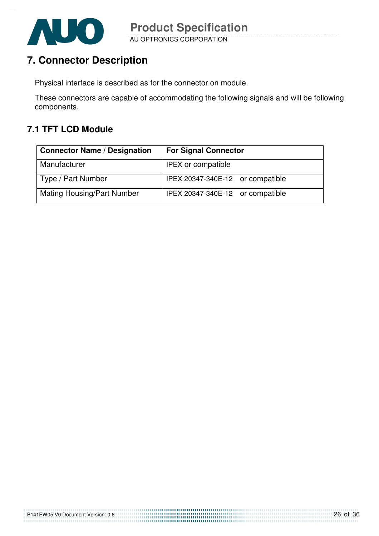

# **7. Connector Description**

Physical interface is described as for the connector on module.

These connectors are capable of accommodating the following signals and will be following components.

# **7.1 TFT LCD Module**

| <b>Connector Name / Designation</b> | <b>For Signal Connector</b>      |  |  |
|-------------------------------------|----------------------------------|--|--|
| Manufacturer                        | <b>IPEX or compatible</b>        |  |  |
| Type / Part Number                  | IPEX 20347-340E-12 or compatible |  |  |
| <b>Mating Housing/Part Number</b>   | IPEX 20347-340E-12 or compatible |  |  |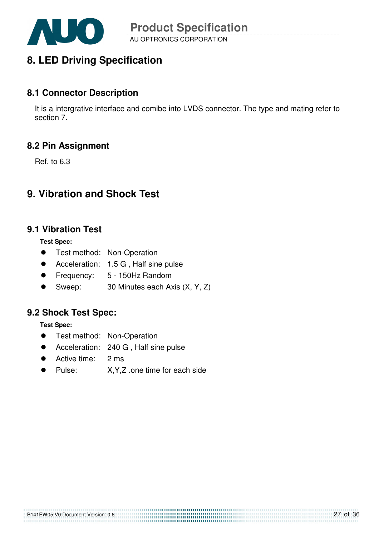

# **8. LED Driving Specification**

### **8.1 Connector Description**

It is a intergrative interface and comibe into LVDS connector. The type and mating refer to section 7.

### **8.2 Pin Assignment**

Ref. to 6.3

# **9. Vibration and Shock Test**

### **9.1 Vibration Test**

**Test Spec:** 

- **•** Test method: Non-Operation
- Acceleration: 1.5 G , Half sine pulse
- Frequency: 5 150Hz Random
- Sweep: 30 Minutes each Axis (X, Y, Z)

### **9.2 Shock Test Spec:**

**Test Spec:** 

- **•** Test method: Non-Operation
- Acceleration: 240 G, Half sine pulse
- Active time: 2 ms
- Pulse: X,Y,Z .one time for each side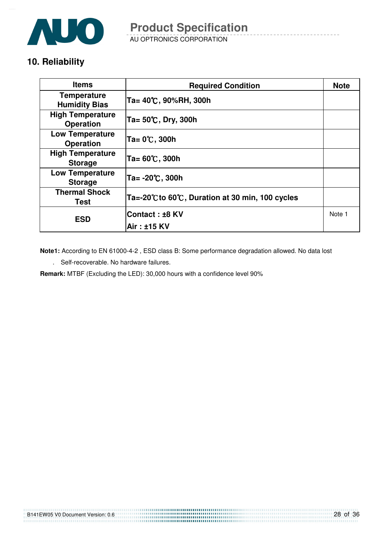

AU OPTRONICS CORPORATION

# **10. Reliability**

| <b>Items</b>                                | <b>Required Condition</b>                     | <b>Note</b> |
|---------------------------------------------|-----------------------------------------------|-------------|
| <b>Temperature</b><br><b>Humidity Bias</b>  | Ta= 40℃, 90%RH, 300h                          |             |
| <b>High Temperature</b><br><b>Operation</b> | Ta= 50℃, Dry, 300h                            |             |
| <b>Low Temperature</b><br><b>Operation</b>  | Ta= 0℃, 300h                                  |             |
| <b>High Temperature</b><br><b>Storage</b>   | Ta= 60℃, 300h                                 |             |
| <b>Low Temperature</b><br><b>Storage</b>    | Ta= -20℃, 300h                                |             |
| <b>Thermal Shock</b><br>Test                | Ta=-20℃to 60℃, Duration at 30 min, 100 cycles |             |
| <b>ESD</b>                                  | <b>Contact:±8 KV</b>                          | Note 1      |
|                                             | Air : ±15 KV                                  |             |

**Note1:** According to EN 61000-4-2 , ESD class B: Some performance degradation allowed. No data lost

. Self-recoverable. No hardware failures.

**Remark:** MTBF (Excluding the LED): 30,000 hours with a confidence level 90%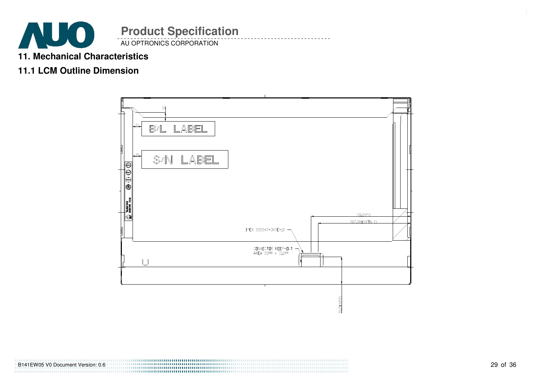

### **11. Mechanical Characteristics**

### **11.1 LCM Outline Dimension**



B141EW05 V0 Document Version: 0.6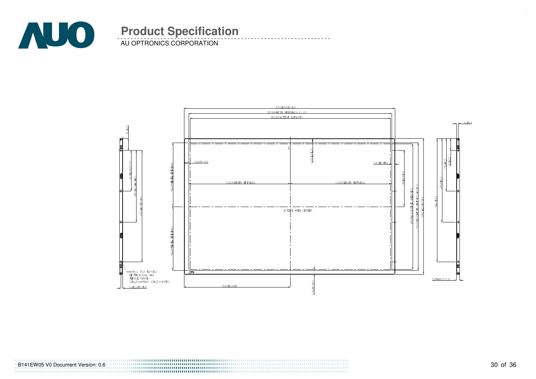

AU OPTRONICS CORPORATION



B141EW05 V0 Document Version: 0.6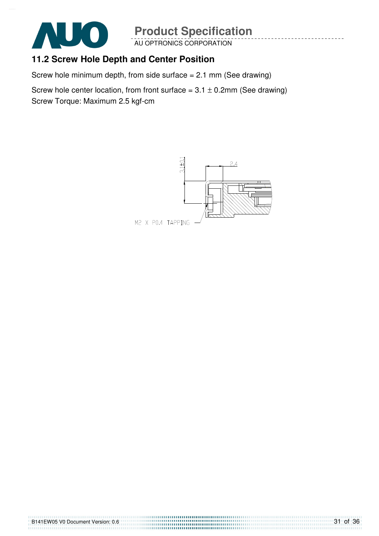

AU OPTRONICS CORPORATION

# **11.2 Screw Hole Depth and Center Position**

Screw hole minimum depth, from side surface = 2.1 mm (See drawing)

Screw hole center location, from front surface =  $3.1 \pm 0.2$ mm (See drawing) Screw Torque: Maximum 2.5 kgf-cm

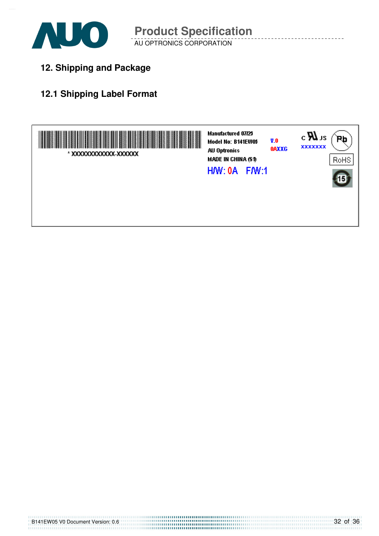

**12. Shipping and Package**

# **12.1 Shipping Label Format**

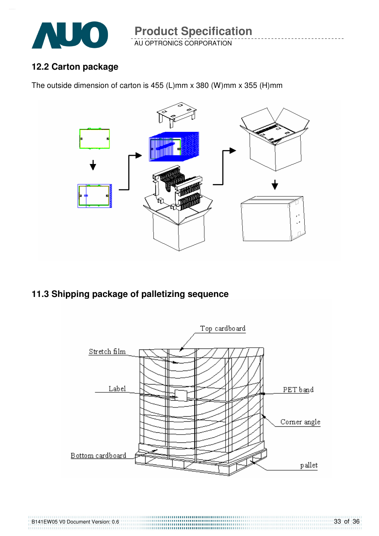

AU OPTRONICS CORPORATION **Product Specification** 

### **12.2 Carton package**

The outside dimension of carton is 455 (L)mm x 380 (W)mm x 355 (H)mm



**11.3 Shipping package of palletizing sequence** 

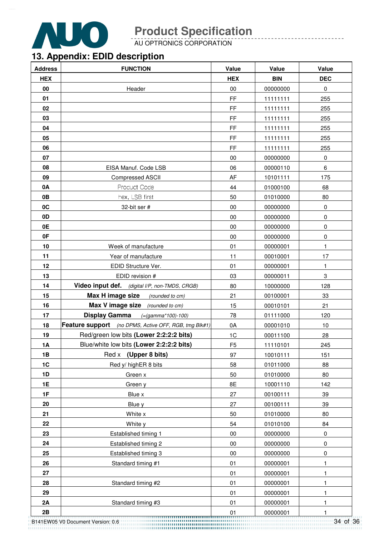

AU OPTRONICS CORPORATION

# **13. Appendix: EDID description**

| <b>Address</b> | <b>FUNCTION</b>                                       | Value          | Value      | Value      |
|----------------|-------------------------------------------------------|----------------|------------|------------|
| <b>HEX</b>     |                                                       | <b>HEX</b>     | <b>BIN</b> | <b>DEC</b> |
| 00             | Header                                                | $00\,$         | 00000000   | $\pmb{0}$  |
| 01             |                                                       | FF             | 11111111   | 255        |
| 02             |                                                       | FF             | 11111111   | 255        |
| 03             |                                                       | FF             | 11111111   | 255        |
| 04             |                                                       | FF             | 11111111   | 255        |
| 05             |                                                       | FF             | 11111111   | 255        |
| 06             |                                                       | FF             | 11111111   | 255        |
| 07             |                                                       | $00\,$         | 00000000   | $\pmb{0}$  |
| 08             | EISA Manuf. Code LSB                                  | 06             | 00000110   | 6          |
| 09             | Compressed ASCII                                      | AF             | 10101111   | 175        |
| 0A             | Product Code                                          | 44             | 01000100   | 68         |
| 0B             | hex, LSB first                                        | 50             | 01010000   | 80         |
| 0C             | 32-bit ser #                                          | 00             | 00000000   | $\pmb{0}$  |
| 0 <sub>D</sub> |                                                       | $00\,$         | 00000000   | 0          |
| 0E             |                                                       | 00             | 00000000   | 0          |
| 0F             |                                                       | 00             | 00000000   | $\pmb{0}$  |
| 10             | Week of manufacture                                   | 01             | 00000001   | 1          |
| 11             | Year of manufacture                                   | 11             | 00010001   | 17         |
| 12             | EDID Structure Ver.                                   | 01             | 00000001   | 1          |
| 13             | EDID revision #                                       | 03             | 00000011   | 3          |
| 14             | Video input def. (digital I/P, non-TMDS, CRGB)        | 80             | 10000000   | 128        |
| 15             | Max H image size<br>(rounded to cm)                   | 21             | 00100001   | 33         |
| 16             | <b>Max V image size</b> (rounded to cm)               | 15             | 00010101   | 21         |
| 17             | <b>Display Gamma</b><br>$( = (gamma * 100) - 100)$    | 78             | 01111000   | 120        |
| 18             | Feature support (no DPMS, Active OFF, RGB, tmg Blk#1) | 0A             | 00001010   | 10         |
| 19             | Red/green low bits (Lower 2:2:2:2 bits)               | 1C             | 00011100   | 28         |
| <b>1A</b>      | Blue/white low bits (Lower 2:2:2:2 bits)              | F <sub>5</sub> | 11110101   | 245        |
| 1B             | (Upper 8 bits)<br>Red x                               | 97             | 10010111   | 151        |
| 1C             | Red y/ highER 8 bits                                  | 58             | 01011000   | 88         |
| 1D             | Green x                                               | 50             | 01010000   | 80         |
| <b>1E</b>      | Green y                                               | 8E             | 10001110   | 142        |
| 1F             | Blue x                                                | 27             | 00100111   | 39         |
| 20             | Blue y                                                | 27             | 00100111   | 39         |
| 21             | White x                                               | 50             | 01010000   | 80         |
| 22             | White y                                               | 54             | 01010100   | 84         |
| 23             | Established timing 1                                  | 00             | 00000000   | 0          |
| 24             | Established timing 2                                  | 00             | 00000000   | 0          |
| 25             | Established timing 3                                  | 00             | 00000000   | 0          |
| 26             | Standard timing #1                                    | 01             | 00000001   | 1          |
| 27             |                                                       | 01             | 00000001   | 1          |
| 28             | Standard timing #2                                    | 01             | 00000001   | 1          |
| 29             |                                                       | 01             | 00000001   | 1          |
| 2A             | Standard timing #3                                    | 01             | 00000001   | 1          |
| 2B             |                                                       | 01             | 00000001   | 1          |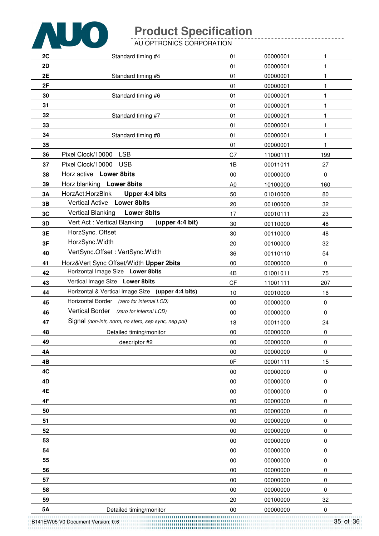

AU OPTRONICS CORPORATION

| 2C       | Standard timing #4                                   | 01             | 00000001             | 1            |
|----------|------------------------------------------------------|----------------|----------------------|--------------|
| 2D       |                                                      | 01             | 00000001             | $\mathbf{1}$ |
| 2E       | Standard timing #5                                   | 01             | 00000001             | 1            |
| 2F       |                                                      | 01             | 00000001             | 1            |
| 30       | Standard timing #6                                   | 01             | 00000001             | 1            |
| 31       |                                                      | 01             | 00000001             | 1            |
| 32       | Standard timing #7                                   | 01             | 00000001             | 1            |
| 33       |                                                      | 01             | 00000001             | 1            |
| 34       | Standard timing #8                                   | 01             | 00000001             | $\mathbf{1}$ |
| 35       |                                                      | 01             | 00000001             | 1            |
| 36       | <b>LSB</b><br>Pixel Clock/10000                      | C7             | 11000111             | 199          |
| 37       | Pixel Clock/10000<br><b>USB</b>                      | 1B             | 00011011             | 27           |
| 38       | Horz active Lower 8bits                              | 00             | 00000000             | 0            |
| 39       | Horz blanking Lower 8bits                            | A <sub>0</sub> | 10100000             | 160          |
| 3A       | HorzAct:HorzBlnk<br>Upper 4:4 bits                   | 50             | 01010000             | 80           |
| 3B       | Vertical Active Lower 8bits                          | 20             | 00100000             | 32           |
| 3C       | <b>Vertical Blanking</b><br><b>Lower 8bits</b>       | 17             | 00010111             | 23           |
| 3D       | Vert Act: Vertical Blanking<br>(upper 4:4 bit)       | 30             | 00110000             | 48           |
| 3E       | HorzSync. Offset                                     | 30             | 00110000             | 48           |
| 3F       | HorzSync.Width                                       | 20             | 00100000             | 32           |
| 40       | VertSync.Offset: VertSync.Width                      | 36             | 00110110             | 54           |
| 41       | Horz‖ Sync Offset/Width Upper 2bits                  | $00\,$         | 00000000             | 0            |
| 42       | Horizontal Image Size Lower 8bits                    | 4B             | 01001011             | 75           |
| 43       | Vertical Image Size Lower 8bits                      | <b>CF</b>      | 11001111             | 207          |
| 44       | Horizontal & Vertical Image Size (upper 4:4 bits)    | 10             | 00010000             | 16           |
| 45       | Horizontal Border (zero for internal LCD)            | 00             | 00000000             | 0            |
| 46       | Vertical Border (zero for internal LCD)              | $00\,$         | 00000000             | 0            |
| 47       | Signal (non-intr, norm, no stero, sep sync, neg pol) | 18             | 00011000             | 24           |
| 48       | Detailed timing/monitor                              | 00             | 00000000             | 0            |
| 49       | descriptor #2                                        | $00\,$         | 00000000             | 0            |
| 4Α       |                                                      | 00             | 00000000             | $\pmb{0}$    |
| 4B       |                                                      | 0F             | 00001111             | 15           |
| 4C       |                                                      | 00             | 00000000             | 0            |
| 4D       |                                                      | $00\,$         | 00000000             | 0            |
| 4E       |                                                      | 00             | 00000000             | $\pmb{0}$    |
| 4F       |                                                      | 00             | 00000000             | $\pmb{0}$    |
| 50       |                                                      | 00             | 00000000             | 0            |
| 51       |                                                      | $00\,$         | 00000000             | 0            |
| 52       |                                                      | $00\,$         | 00000000             | 0            |
| 53       |                                                      | 00             | 00000000             | 0            |
| 54       |                                                      | $00\,$         | 00000000             | 0            |
| 55       |                                                      | $00\,$         | 00000000             | 0            |
| 56       |                                                      | 00             | 00000000             | $\pmb{0}$    |
| 57       |                                                      | 00             | 00000000             | 0            |
| 58<br>59 |                                                      | 00             | 00000000             | 0            |
| 5A       | Detailed timing/monitor                              | 20<br>$00\,$   | 00100000<br>00000000 | 32<br>0      |
|          |                                                      |                |                      |              |

B141EW05 V0 Document Version: 0.6